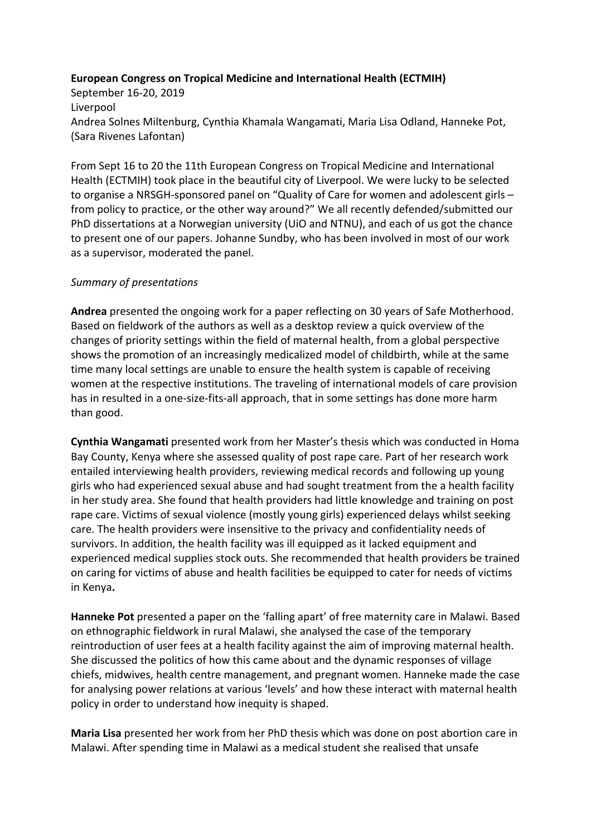## **European Congress on Tropical Medicine and International Health (ECTMIH)**

September 16-20, 2019 Liverpool Andrea Solnes Miltenburg, Cynthia Khamala Wangamati, Maria Lisa Odland, Hanneke Pot, (Sara Rivenes Lafontan)

From Sept 16 to 20 the 11th European Congress on Tropical Medicine and International Health (ECTMIH) took place in the beautiful city of Liverpool. We were lucky to be selected to organise a NRSGH-sponsored panel on "Quality of Care for women and adolescent girls – from policy to practice, or the other way around?" We all recently defended/submitted our PhD dissertations at a Norwegian university (UiO and NTNU), and each of us got the chance to present one of our papers. Johanne Sundby, who has been involved in most of our work as a supervisor, moderated the panel.

## *Summary of presentations*

**Andrea** presented the ongoing work for a paper reflecting on 30 years of Safe Motherhood. Based on fieldwork of the authors as well as a desktop review a quick overview of the changes of priority settings within the field of maternal health, from a global perspective shows the promotion of an increasingly medicalized model of childbirth, while at the same time many local settings are unable to ensure the health system is capable of receiving women at the respective institutions. The traveling of international models of care provision has in resulted in a one-size-fits-all approach, that in some settings has done more harm than good.

**Cynthia Wangamati** presented work from her Master's thesis which was conducted in Homa Bay County, Kenya where she assessed quality of post rape care. Part of her research work entailed interviewing health providers, reviewing medical records and following up young girls who had experienced sexual abuse and had sought treatment from the a health facility in her study area. She found that health providers had little knowledge and training on post rape care. Victims of sexual violence (mostly young girls) experienced delays whilst seeking care. The health providers were insensitive to the privacy and confidentiality needs of survivors. In addition, the health facility was ill equipped as it lacked equipment and experienced medical supplies stock outs. She recommended that health providers be trained on caring for victims of abuse and health facilities be equipped to cater for needs of victims in Kenya**.**

**Hanneke Pot** presented a paper on the 'falling apart' of free maternity care in Malawi. Based on ethnographic fieldwork in rural Malawi, she analysed the case of the temporary reintroduction of user fees at a health facility against the aim of improving maternal health. She discussed the politics of how this came about and the dynamic responses of village chiefs, midwives, health centre management, and pregnant women. Hanneke made the case for analysing power relations at various 'levels' and how these interact with maternal health policy in order to understand how inequity is shaped.

**Maria Lisa** presented her work from her PhD thesis which was done on post abortion care in Malawi. After spending time in Malawi as a medical student she realised that unsafe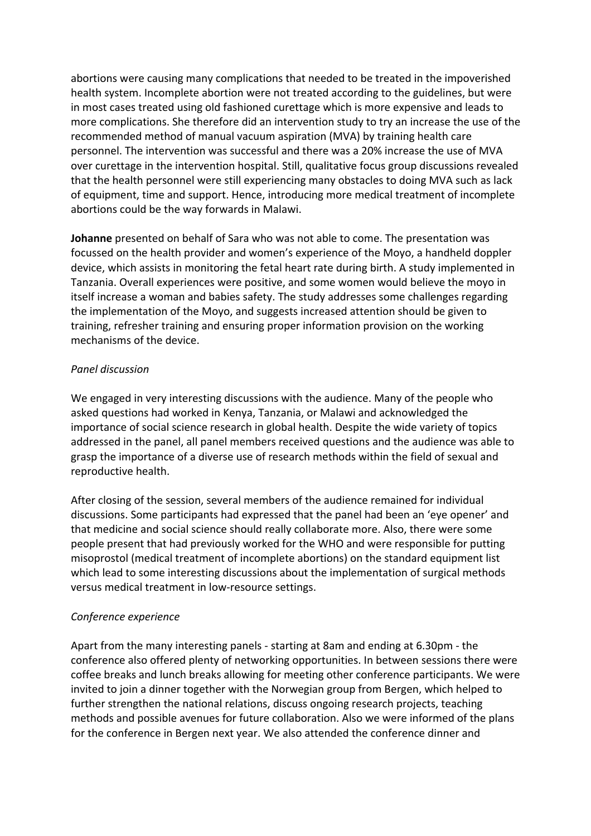abortions were causing many complications that needed to be treated in the impoverished health system. Incomplete abortion were not treated according to the guidelines, but were in most cases treated using old fashioned curettage which is more expensive and leads to more complications. She therefore did an intervention study to try an increase the use of the recommended method of manual vacuum aspiration (MVA) by training health care personnel. The intervention was successful and there was a 20% increase the use of MVA over curettage in the intervention hospital. Still, qualitative focus group discussions revealed that the health personnel were still experiencing many obstacles to doing MVA such as lack of equipment, time and support. Hence, introducing more medical treatment of incomplete abortions could be the way forwards in Malawi.

**Johanne** presented on behalf of Sara who was not able to come. The presentation was focussed on the health provider and women's experience of the Moyo, a handheld doppler device, which assists in monitoring the fetal heart rate during birth. A study implemented in Tanzania. Overall experiences were positive, and some women would believe the moyo in itself increase a woman and babies safety. The study addresses some challenges regarding the implementation of the Moyo, and suggests increased attention should be given to training, refresher training and ensuring proper information provision on the working mechanisms of the device.

## *Panel discussion*

We engaged in very interesting discussions with the audience. Many of the people who asked questions had worked in Kenya, Tanzania, or Malawi and acknowledged the importance of social science research in global health. Despite the wide variety of topics addressed in the panel, all panel members received questions and the audience was able to grasp the importance of a diverse use of research methods within the field of sexual and reproductive health.

After closing of the session, several members of the audience remained for individual discussions. Some participants had expressed that the panel had been an 'eye opener' and that medicine and social science should really collaborate more. Also, there were some people present that had previously worked for the WHO and were responsible for putting misoprostol (medical treatment of incomplete abortions) on the standard equipment list which lead to some interesting discussions about the implementation of surgical methods versus medical treatment in low-resource settings.

## *Conference experience*

Apart from the many interesting panels - starting at 8am and ending at 6.30pm - the conference also offered plenty of networking opportunities. In between sessions there were coffee breaks and lunch breaks allowing for meeting other conference participants. We were invited to join a dinner together with the Norwegian group from Bergen, which helped to further strengthen the national relations, discuss ongoing research projects, teaching methods and possible avenues for future collaboration. Also we were informed of the plans for the conference in Bergen next year. We also attended the conference dinner and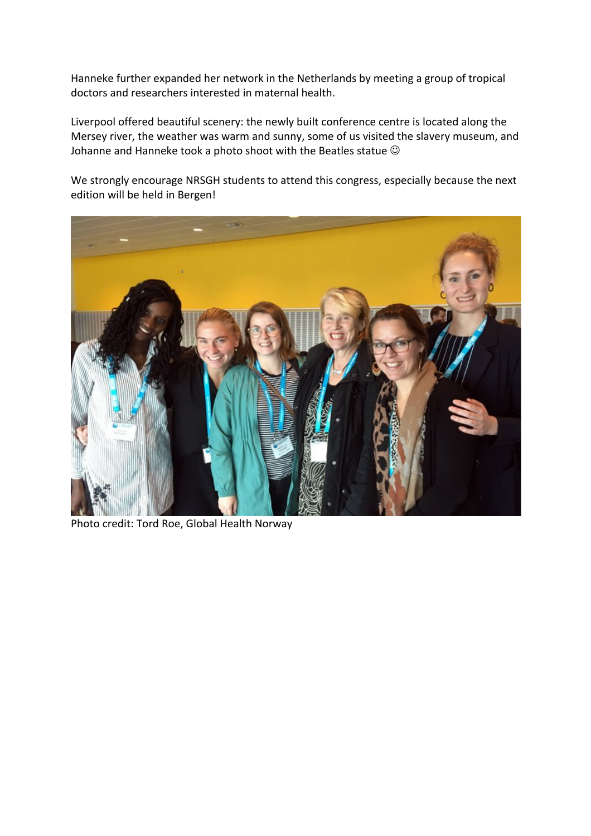Hanneke further expanded her network in the Netherlands by meeting a group of tropical doctors and researchers interested in maternal health.

Liverpool offered beautiful scenery: the newly built conference centre is located along the Mersey river, the weather was warm and sunny, some of us visited the slavery museum, and Johanne and Hanneke took a photo shoot with the Beatles statue  $\odot$ 

We strongly encourage NRSGH students to attend this congress, especially because the next edition will be held in Bergen!



Photo credit: Tord Roe, Global Health Norway